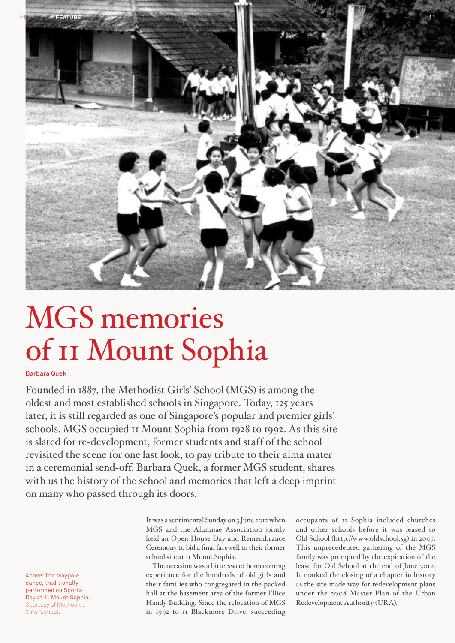

# MGS memories of 11 Mount Sophia

# Barbara Quek

Founded in 1887, the Methodist Girls' School (MGS) is among the oldest and most established schools in Singapore. Today, 125 years later, it is still regarded as one of Singapore's popular and premier girls' schools. MGS occupied 11 Mount Sophia from 1928 to 1992. As this site is slated for re-development, former students and staff of the school revisited the scene for one last look, to pay tribute to their alma mater in a ceremonial send-off. Barbara Quek, a former MGS student, shares with us the history of the school and memories that left a deep imprint on many who passed through its doors.

> It was a sentimental Sunday on 3 June 2012 when MGS and the Alumnae Association jointly held an Open House Day and Remembrance Ceremony to bid a final farewell to their former school site at 11 Mount Sophia.

> The occasion was a bittersweet homecoming experience for the hundreds of old girls and their families who congregated in the packed hall at the basement area of the former Ellice Handy Building. Since the relocation of MGS in 1992 to 11 Blackmore Drive, succeeding

occupants of 11 Sophia included churches and other schools before it was leased to Old School (http://www.oldschool.sg) in 2007. This unprecedented gathering of the MGS family was prompted by the expiration of the lease for Old School at the end of June 2012. It marked the closing of a chapter in history as the site made way for redevelopment plans under the 2008 Master Plan of the Urban Redevelopment Authority (URA).

Above: The Maypole dance, traditionally performed on Sports Day at 11 Mount Sophia. Courtesy of Methodist Girls' School.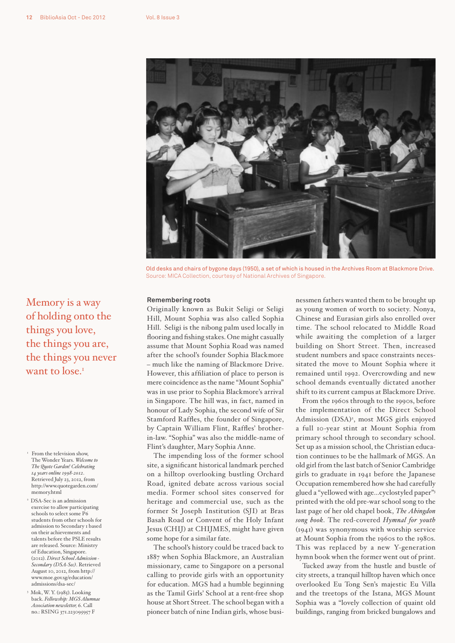

Old desks and chairs of bygone days (1950), a set of which is housed in the Archives Room at Blackmore Drive. Source: MICA Collection, courtesy of National Archives of Singapore.

#### **Remembering roots**

Originally known as Bukit Seligi or Seligi Hill, Mount Sophia was also called Sophia Hill. Seligi is the nibong palm used locally in flooring and fishing stakes. One might casually assume that Mount Sophia Road was named after the school's founder Sophia Blackmore – much like the naming of Blackmore Drive. However, this affiliation of place to person is mere coincidence as the name "Mount Sophia" was in use prior to Sophia Blackmore's arrival in Singapore. The hill was, in fact, named in honour of Lady Sophia, the second wife of Sir Stamford Raffles, the founder of Singapore, by Captain William Flint, Raffles' brotherin-law. "Sophia" was also the middle-name of Flint's daughter, Mary Sophia Anne.

The impending loss of the former school site, a significant historical landmark perched on a hilltop overlooking bustling Orchard Road, ignited debate across various social media. Former school sites conserved for heritage and commercial use, such as the former St Joseph Institution (SJI) at Bras Basah Road or Convent of the Holy Infant Jesus (CHIJ) at CHIJMES, might have given some hope for a similar fate.

The school's history could be traced back to 1887 when Sophia Blackmore, an Australian missionary, came to Singapore on a personal calling to provide girls with an opportunity for education. MGS had a humble beginning as the Tamil Girls' School at a rent-free shop house at Short Street. The school began with a pioneer batch of nine Indian girls, whose businessmen fathers wanted them to be brought up as young women of worth to society. Nonya, Chinese and Eurasian girls also enrolled over time. The school relocated to Middle Road while awaiting the completion of a larger building on Short Street. Then, increased student numbers and space constraints necessitated the move to Mount Sophia where it remained until 1992. Overcrowding and new school demands eventually dictated another shift to its current campus at Blackmore Drive.

From the 1960s through to the 1990s, before the implementation of the Direct School Admission (DSA)<sup>2</sup>, most MGS girls enjoyed a full 10-year stint at Mount Sophia from primary school through to secondary school. Set up as a mission school, the Christian education continues to be the hallmark of MGS. An old girl from the last batch of Senior Cambridge girls to graduate in 1941 before the Japanese Occupation remembered how she had carefully glued a "yellowed with age…cyclostyled paper"3 printed with the old pre-war school song to the last page of her old chapel book, *The Abingdon song book*. The red-covered *Hymnal for youth* (1941) was synonymous with worship service at Mount Sophia from the 1960s to the 1980s. This was replaced by a new Y-generation hymn book when the former went out of print.

Tucked away from the hustle and bustle of city streets, a tranquil hilltop haven which once overlooked Eu Tong Sen's majestic Eu Villa and the treetops of the Istana, MGS Mount Sophia was a "lovely collection of quaint old buildings, ranging from bricked bungalows and

Memory is a way of holding onto the things you love, the things you are, the things you never want to lose.<sup>1</sup>

- <sup>1</sup> From the television show, The Wonder Years. *Welcome to The Quote Garden! Celebrating 14 years online 1998-2012*. Retrieved July 23, 2012, from http://www.quotegarden.com/ memory.html
- 2 DSA-Sec is an admission exercise to allow participating schools to select some P6 students from other schools for admission to Secondary 1 based on their achievements and talents before the PSLE results are released. Source: Ministry of Education, Singapore. (2012). *Direct School Admission - Secondary (DSA-Sec)*. Retrieved August 10, 2012, from http:// www.moe.gov.sg/education/ admissions/dsa-sec/
- 3 Mok, W. Y. (1985). Looking back. *Fellowship: MGS Alumnae Association newsletter,* 6. Call no.: RSING 371.223095957 F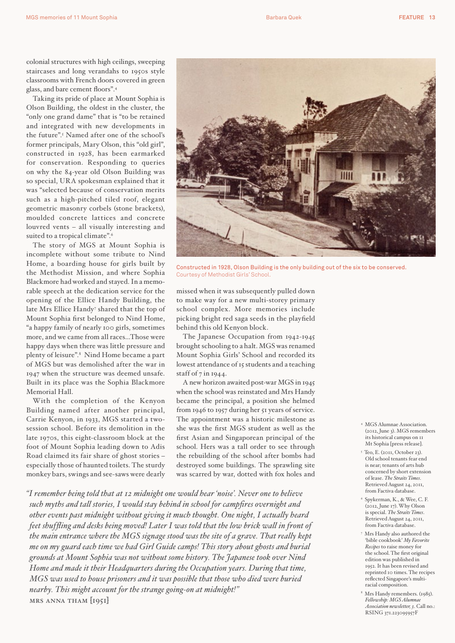colonial structures with high ceilings, sweeping staircases and long verandahs to 1950s style classrooms with French doors covered in green glass, and bare cement floors".4

Taking its pride of place at Mount Sophia is Olson Building, the oldest in the cluster, the "only one grand dame" that is "to be retained and integrated with new developments in the future".5 Named after one of the school's former principals, Mary Olson, this "old girl", constructed in 1928, has been earmarked for conservation. Responding to queries on why the 84-year old Olson Building was so special, URA spokesman explained that it was "selected because of conservation merits such as a high-pitched tiled roof, elegant geometric masonry corbels (stone brackets), moulded concrete lattices and concrete louvred vents – all visually interesting and suited to a tropical climate".<sup>6</sup>

The story of MGS at Mount Sophia is incomplete without some tribute to Nind Home, a boarding house for girls built by the Methodist Mission, and where Sophia Blackmore had worked and stayed. In a memorable speech at the dedication service for the opening of the Ellice Handy Building, the late Mrs Ellice Handy<sup>7</sup> shared that the top of Mount Sophia first belonged to Nind Home, "a happy family of nearly 100 girls, sometimes more, and we came from all races…Those were happy days when there was little pressure and plenty of leisure".8 Nind Home became a part of MGS but was demolished after the war in 1947 when the structure was deemed unsafe. Built in its place was the Sophia Blackmore Memorial Hall.

With the completion of the Kenyon Building named after another principal, Carrie Kenyon, in 1933, MGS started a twosession school. Before its demolition in the late 1970s, this eight-classroom block at the foot of Mount Sophia leading down to Adis Road claimed its fair share of ghost stories – especially those of haunted toilets. The sturdy monkey bars, swings and see-saws were dearly



Constructed in 1928, Olson Building is the only building out of the six to be conserved. Courtesy of Methodist Girls' School.

missed when it was subsequently pulled down to make way for a new multi-storey primary school complex. More memories include picking bright red saga seeds in the playfield behind this old Kenyon block.

The Japanese Occupation from 1942-1945 brought schooling to a halt. MGS was renamed Mount Sophia Girls' School and recorded its lowest attendance of 15 students and a teaching staff of 7 in 1944.

A new horizon awaited post-war MGS in 1945 when the school was reinstated and Mrs Handy became the principal, a position she helmed from 1946 to 1957 during her 51 years of service. The appointment was a historic milestone as she was the first MGS student as well as the first Asian and Singaporean principal of the school. Hers was a tall order to see through the rebuilding of the school after bombs had destroyed some buildings. The sprawling site was scarred by war, dotted with fox holes and

*"I remember being told that at 12 midnight one would hear 'noise'. Never one to believe such myths and tall stories, I would stay behind in school for campfires overnight and other events past midnight without giving it much thought. One night, I actually heard feet shuffling and desks being moved! Later I was told that the low brick wall in front of the main entrance where the MGS signage stood was the site of a grave. That really kept me on my guard each time we had Girl Guide camps! This story about ghosts and burial grounds at Mount Sophia was not without some history. The Japanese took over Nind Home and made it their Headquarters during the Occupation years. During that time, MGS was used to house prisoners and it was possible that those who died were buried nearby. This might account for the strange going-on at midnight!"*  mrs anna tham [1951]

- 4 MGS Alumnae Association. (2012, June 3). MGS remembers its historical campus on 11 Mt Sophia [press release].
- 5 Teo, E. (2011, October 23). Old school tenants fear end is near; tenants of arts hub concerned by short extension of lease. *The Straits Times*. Retrieved August 24, 2011, from Factiva database.
- 6 Spykerman, K., & Wee, C. F. (2012, June 17). Why Olson is special. *The Straits Times*. Retrieved August 24, 2011, from Factiva database.
- 7 Mrs Handy also authored the 'bible cookbook' *My Favorite Recipes* to raise money for the school. The first original edition was published in 1952. It has been revised and reprinted 10 times. The recipes reflected Singapore's multiracial composition.
- 8 Mrs Handy remembers. (1985). *Fellowship: MGS Alumnae Association newsletter, 3*. Call no.: RSING 371.223095957F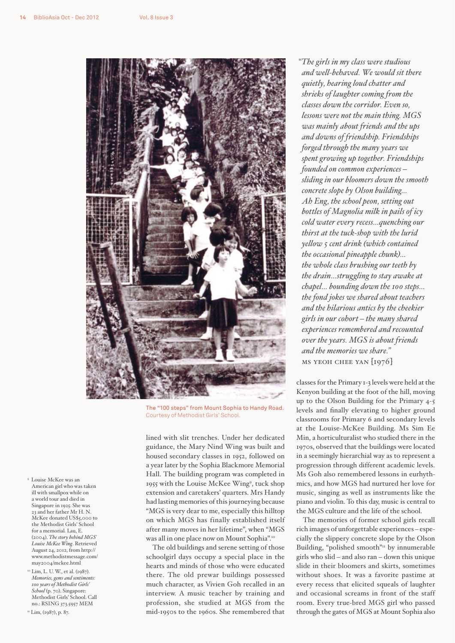

The "100 steps" from Mount Sophia to Handy Road. Courtesy of Methodist Girls' School.

lined with slit trenches. Under her dedicated guidance, the Mary Nind Wing was built and housed secondary classes in 1952, followed on a year later by the Sophia Blackmore Memorial Hall. The building program was completed in 1955 with the Louise McKee Wing<sup>9</sup>, tuck shop extension and caretakers' quarters. Mrs Handy had lasting memories of this journeying because "MGS is very dear to me, especially this hilltop on which MGS has finally established itself after many moves in her lifetime", when "MGS was all in one place now on Mount Sophia".10

The old buildings and serene setting of those schoolgirl days occupy a special place in the hearts and minds of those who were educated there. The old prewar buildings possessed much character, as Vivien Goh recalled in an interview. A music teacher by training and profession, she studied at MGS from the mid-1950s to the 1960s. She remembered that

*"The girls in my class were studious and well-behaved. We would sit there quietly, hearing loud chatter and shrieks of laughter coming from the classes down the corridor. Even so, lessons were not the main thing. MGS was mainly about friends and the ups and downs of friendship. Friendships forged through the many years we spent growing up together. Friendships founded on common experiences – sliding in our bloomers down the smooth concrete slope by Olson building… Ah Eng, the school peon, setting out bottles of Magnolia milk in pails of icy cold water every recess…quenching our thirst at the tuck-shop with the lurid yellow 5 cent drink (which contained the occasional pineapple chunk)… the whole class brushing our teeth by the drain…struggling to stay awake at chapel… bounding down the 100 steps… the fond jokes we shared about teachers and the hilarious antics by the cheekier girls in our cohort – the many shared experiences remembered and recounted over the years. MGS is about friends and the memories we share."*  ms yeoh chee yan [1976]

classes for the Primary 1-3 levels were held at the Kenyon building at the foot of the hill, moving up to the Olson Building for the Primary 4-5 levels and finally elevating to higher ground classrooms for Primary 6 and secondary levels at the Louise-McKee Building. Ms Sim Ee Min, a horticulturalist who studied there in the 1970s, observed that the buildings were located in a seemingly hierarchial way as to represent a progression through different academic levels. Ms Goh also remembered lessons in eurhythmics, and how MGS had nurtured her love for music, singing as well as instruments like the piano and violin. To this day, music is central to the MGS culture and the life of the school.

The memories of former school girls recall rich images of unforgettable experiences – especially the slippery concrete slope by the Olson Building, "polished smooth"<sup>11</sup> by innumerable girls who slid – and also ran – down this unique slide in their bloomers and skirts, sometimes without shoes. It was a favorite pastime at every recess that elicited squeals of laughter and occasional screams in front of the staff room. Every true-bred MGS girl who passed through the gates of MGS at Mount Sophia also

- 9 Louise McKee was an American girl who was taken ill with smallpox while on a world tour and died in Singapore in 1925. She was 23 and her father Mr H. N. McKee donated US\$5,000 to the Methodist Girls' School for a memorial. Lau, E. (2004). *The story behind MGS' Louise McKee Wing*. Retrieved August 24, 2012, from http:// www.methodistmessage.com/ may2004/mckee.html
- <sup>10</sup> Lim, L. U. W., et al. (1987). *Memories, gems and sentiments: 100 years of Methodist Girls' School* (p. 70). Singapore: Methodist Girls' School. Call no.: RSING 373.5957 MEM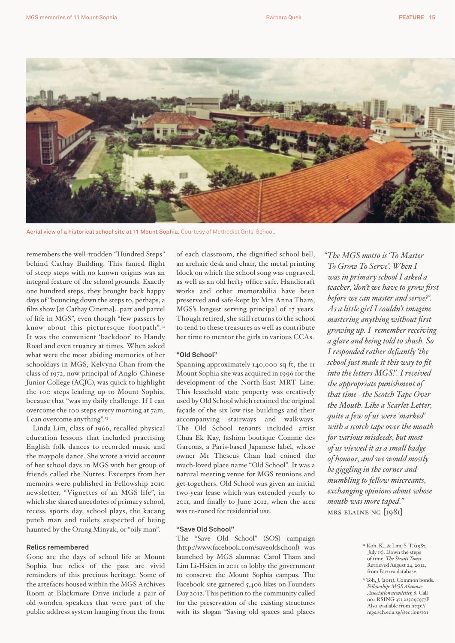

Aerial view of a historical school site at 11 Mount Sophia. Courtesy of Methodist Girls' School.

remembers the well-trodden "Hundred Steps" behind Cathay Building. This famed flight of steep steps with no known origins was an integral feature of the school grounds. Exactly one hundred steps, they brought back happy days of "bouncing down the steps to, perhaps, a film show [at Cathay Cinema]…part and parcel of life in MGS", even though "few passers-by know about this picturesque footpath".<sup>12</sup> It was the convenient 'backdoor' to Handy Road and even truancy at times. When asked what were the most abiding memories of her schooldays in MGS, Kelvyna Chan from the class of 1972, now principal of Anglo-Chinese Junior College (ACJC), was quick to highlight the 100 steps leading up to Mount Sophia, because that "was my daily challenge. If I can overcome the 100 steps every morning at 7am, I can overcome anything".13

Linda Lim, class of 1966, recalled physical education lessons that included practising English folk dances to recorded music and the maypole dance. She wrote a vivid account of her school days in MGS with her group of friends called the Nuttes. Excerpts from her memoirs were published in Fellowship 2010 newsletter, "Vignettes of an MGS life", in which she shared anecdotes of primary school, recess, sports day, school plays, the kacang puteh man and toilets suspected of being haunted by the Orang Minyak, or "oily man".

# **Relics remembered**

Gone are the days of school life at Mount Sophia but relics of the past are vivid reminders of this precious heritage. Some of the artefacts housed within the MGS Archives Room at Blackmore Drive include a pair of old wooden speakers that were part of the public address system hanging from the front

of each classroom, the dignified school bell, an archaic desk and chair, the metal printing block on which the school song was engraved, as well as an old hefty office safe. Handicraft works and other memorabilia have been preserved and safe-kept by Mrs Anna Tham, MGS's longest serving principal of 17 years. Though retired, she still returns to the school to tend to these treasures as well as contribute her time to mentor the girls in various CCAs.

# **"Old School"**

Spanning approximately 140,000 sq ft, the 11 Mount Sophia site was acquired in 1996 for the development of the North-East MRT Line. This leasehold state property was creatively used by Old School which retained the original façade of the six low-rise buildings and their accompanying stairways and walkways. The Old School tenants included artist Chua Ek Kay, fashion boutique Comme des Garcons, a Paris-based Japanese label, whose owner Mr Theseus Chan had coined the much-loved place name "Old School". It was a natural meeting venue for MGS reunions and get-togethers. Old School was given an initial two-year lease which was extended yearly to 2011, and finally to June 2012, when the area was re-zoned for residential use.

# **"Save Old School"**

The "Save Old School" (SOS) campaign (http://www.facebook.com/saveoldschool) was launched by MGS alumnae Carol Tham and Lim Li-Hsien in 2011 to lobby the government to conserve the Mount Sophia campus. The Facebook site garnered 5,406 likes on Founders Day 2012. This petition to the community called for the preservation of the existing structures with its slogan "Saving old spaces and places

*"The MGS motto is 'To Master To Grow To Serve'. When I was in primary school I asked a teacher, 'don't we have to grow first before we can master and serve?'. As a little girl I couldn't imagine mastering anything without first growing up. I remember receiving a glare and being told to shush. So I responded rather defiantly 'the school just made it this way to fit into the letters MGS!'. I received the appropriate punishment of that time - the Scotch Tape Over the Mouth. Like a Scarlet Letter, quite a few of us were 'marked' with a scotch tape over the mouth for various misdeeds, but most of us viewed it as a small badge of honour, and we would mostly be giggling in the corner and mumbling to fellow miscreants, exchanging opinions about whose mouth was more taped."* 

mrs elaine ng [1981]

<sup>12</sup> Koh, K., & Lim, S. T. (1987, July 15). Down the steps of time. *The Straits Times*. Retrieved August 24, 2012, from Factiva database.

<sup>&</sup>lt;sup>13</sup> Toh, J. (2011). Common bonds.  $Fellowship: MGS$  Alumna *Association newsletter, 6*. Call no.: RSING 371.223095957F Also available from http:// mgs.sch.edu.sg//section/101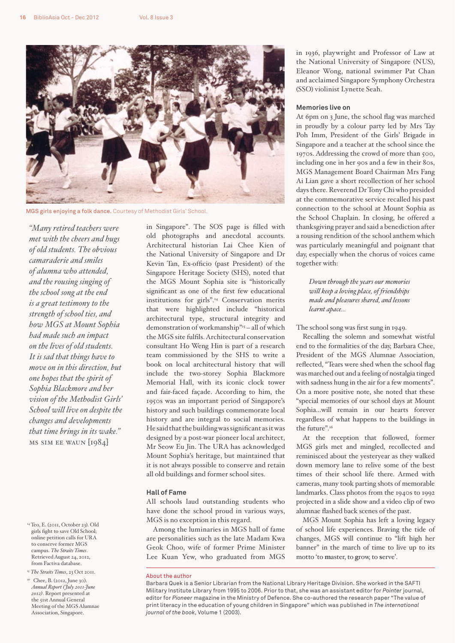

MGS girls enjoying a folk dance. Courtesy of Methodist Girls' School.

*"Many retired teachers were met with the cheers and hugs of old students. The obvious camaraderie and smiles of alumna who attended, and the rousing singing of the school song at the end is a great testimony to the strength of school ties, and how MGS at Mount Sophia had made such an impact on the lives of old students. It is sad that things have to move on in this direction, but one hopes that the spirit of Sophia Blackmore and her vision of the Methodist Girls' School will live on despite the changes and developments that time brings in its wake."*  ms sim ee waun [1984]

- 14 Teo, E. (2011, October 23). Old girls fight to save Old School; online petition calls for URA to conserve former MGS campus. *The Straits Times*. Retrieved August 24, 2012, from Factiva database.
- <sup>15</sup> *The Straits Times*, 23 Oct 2011.
- <sup>16</sup> Chee, B. (2012, June 30). *Annual Report (July 2011-June 2012)*. Report presented at the 51st Annual General Meeting of the MGS Alumnae Association, Singapore.

in Singapore". The SOS page is filled with old photographs and anecdotal accounts. Architectural historian Lai Chee Kien of the National University of Singapore and Dr Kevin Tan, Ex-officio (past President) of the Singapore Heritage Society (SHS), noted that the MGS Mount Sophia site is "historically significant as one of the first few educational institutions for girls".14 Conservation merits that were highlighted include "historical architectural type, structural integrity and demonstration of workmanship"15 – all of which the MGS site fulfils. Architectural conservation consultant Ho Weng Hin is part of a research team commissioned by the SHS to write a book on local architectural history that will include the two-storey Sophia Blackmore Memorial Hall, with its iconic clock tower and fair-faced façade. According to him, the 1950s was an important period of Singapore's history and such buildings commemorate local history and are integral to social memories. He said that the building was significant as it was designed by a post-war pioneer local architect, Mr Seow Eu Jin. The URA has acknowledged Mount Sophia's heritage, but maintained that it is not always possible to conserve and retain all old buildings and former school sites.

## **Hall of Fame**

All schools laud outstanding students who have done the school proud in various ways, MGS is no exception in this regard.

Among the luminaries in MGS hall of fame are personalities such as the late Madam Kwa Geok Choo, wife of former Prime Minister Lee Kuan Yew, who graduated from MGS

in 1936, playwright and Professor of Law at the National University of Singapore (NUS), Eleanor Wong, national swimmer Pat Chan and acclaimed Singapore Symphony Orchestra (SSO) violinist Lynette Seah.

### **Memories live on**

At 6pm on 3 June, the school flag was marched in proudly by a colour party led by Mrs Tay Poh Imm, President of the Girls' Brigade in Singapore and a teacher at the school since the 1970s. Addressing the crowd of more than 500, including one in her 90s and a few in their 80s, MGS Management Board Chairman Mrs Fang Ai Lian gave a short recollection of her school days there. Reverend Dr Tony Chi who presided at the commemorative service recalled his past connection to the school at Mount Sophia as the School Chaplain. In closing, he offered a thanksgiving prayer and said a benediction after a rousing rendition of the school anthem which was particularly meaningful and poignant that day, especially when the chorus of voices came together with:

*Down through the years our memories will keep a loving place, of friendships made and pleasures shared, and lessons learnt apace...*

## The school song was first sung in 1949.

Recalling the solemn and somewhat wistful end to the formalities of the day, Barbara Chee, President of the MGS Alumnae Association, reflected, "Tears were shed when the school flag was marched out and a feeling of nostalgia tinged with sadness hung in the air for a few moments". On a more positive note, she noted that these "special memories of our school days at Mount Sophia…will remain in our hearts forever regardless of what happens to the buildings in the future".<sup>16</sup>

At the reception that followed, former MGS girls met and mingled, recollected and reminisced about the yesteryear as they walked down memory lane to relive some of the best times of their school life there. Armed with cameras, many took parting shots of memorable landmarks. Class photos from the 1940s to 1992 projected in a slide show and a video clip of two alumnae flashed back scenes of the past.

MGS Mount Sophia has left a loving legacy of school life experiences. Braving the tide of changes, MGS will continue to "lift high her banner" in the march of time to live up to its motto 'to **m**aster, to **g**row, to **s**erve'.

About the author

Barbara Quek is a Senior Librarian from the National Library Heritage Division. She worked in the SAFTI Military Institute Library from 1995 to 2006. Prior to that, she was an assistant editor for *Pointer* journal, editor for *Pioneer* magazine in the Ministry of Defence. She co-authored the research paper "The value of print literacy in the education of young children in Singapore" which was published in *The international journal of the book*, Volume 1 (2003).